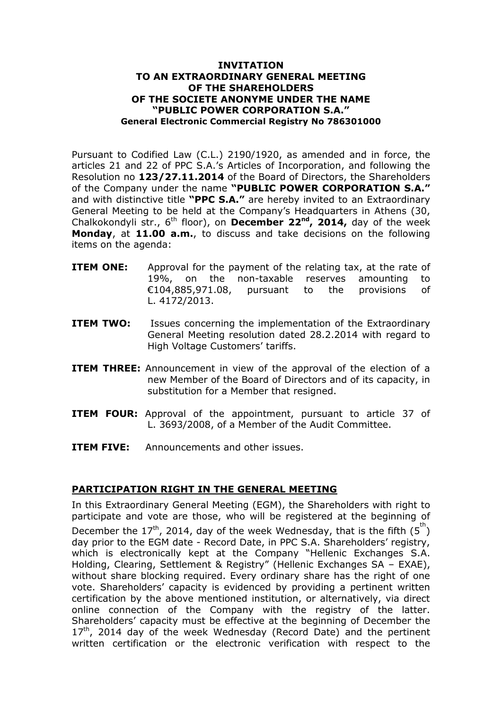#### **INVITATION TO AN EXTRAORDINARY GENERAL MEETING OF THE SHAREHOLDERS OF THE SOCIETE ANONYME UNDER THE NAME "PUBLIC POWER CORPORATION S.A." General Electronic Commercial Registry No 786301000**

Pursuant to Codified Law (C.L.) 2190/1920, as amended and in force, the articles 21 and 22 of PPC S.A.'s Articles of Incorporation, and following the Resolution no **123/27.11.2014** of the Board of Directors, the Shareholders of the Company under the name **"PUBLIC POWER CORPORATION S.A."** and with distinctive title **"PPC S.A."** are hereby invited to an Extraordinary General Meeting to be held at the Company's Headquarters in Athens (30, Chalkokondyli str., 6<sup>th</sup> floor), on **December 22<sup>nd</sup>, 2014,** day of the week **Monday**, at **11.00 a.m.**, to discuss and take decisions on the following items on the agenda:

- **ITEM ONE:** Approval for the payment of the relating tax, at the rate of 19%, on the non-taxable reserves amounting to €104,885,971.08, pursuant to the provisions of L. 4172/2013.
- **ITEM TWO:** Issues concerning the implementation of the Extraordinary General Meeting resolution dated 28.2.2014 with regard to High Voltage Customers' tariffs.
- **ITEM THREE:** Announcement in view of the approval of the election of a new Member of the Board of Directors and of its capacity, in substitution for a Member that resigned.
- **ITEM FOUR:** Approval of the appointment, pursuant to article 37 of L. 3693/2008, of a Member of the Audit Committee.
- **ITEM FIVE:** Announcements and other issues.

### **PARTICIPATION RIGHT IN THE GENERAL MEETING**

In this Extraordinary General Meeting (EGM), the Shareholders with right to participate and vote are those, who will be registered at the beginning of December the 17<sup>th</sup>, 2014, day of the week Wednesday, that is the fifth  $(5^{th})$ day prior to the EGM date - Record Date, in PPC S.A. Shareholders' registry, which is electronically kept at the Company "Hellenic Exchanges S.A. Holding, Clearing, Settlement & Registry" (Hellenic Exchanges SA – EXAE), without share blocking required. Every ordinary share has the right of one vote. Shareholders' capacity is evidenced by providing a pertinent written certification by the above mentioned institution, or alternatively, via direct online connection of the Company with the registry of the latter. Shareholders' capacity must be effective at the beginning of December the  $17<sup>th</sup>$ , 2014 day of the week Wednesday (Record Date) and the pertinent written certification or the electronic verification with respect to the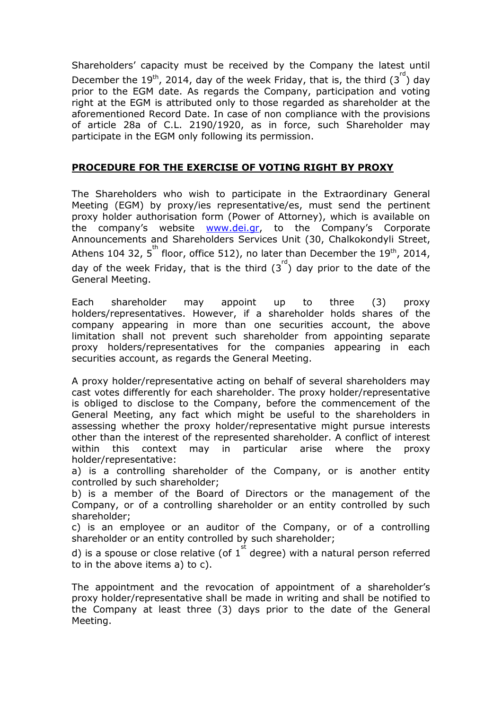Shareholders' capacity must be received by the Company the latest until December the 19<sup>th</sup>, 2014, day of the week Friday, that is, the third  $(3^{rd})$  day prior to the EGM date. As regards the Company, participation and voting right at the EGM is attributed only to those regarded as shareholder at the aforementioned Record Date. In case of non compliance with the provisions of article 28a of C.L. 2190/1920, as in force, such Shareholder may participate in the EGM only following its permission.

## **PROCEDURE FOR THE EXERCISE OF VOTING RIGHT BY PROXY**

The Shareholders who wish to participate in the Extraordinary General Meeting (EGM) by proxy/ies representative/es, must send the pertinent proxy holder authorisation form (Power of Attorney), which is available on the company's website [www.dei.gr,](http://www.dei.gr/) to the Company's Corporate Announcements and Shareholders Services Unit (30, Chalkokondyli Street, Athens 104 32,  $5^{\text{th}}$  floor, office 512), no later than December the 19<sup>th</sup>, 2014, day of the week Friday, that is the third  $(3^{rd})$  day prior to the date of the General Meeting.

Each shareholder may appoint up to three (3) proxy holders/representatives. However, if a shareholder holds shares of the company appearing in more than one securities account, the above limitation shall not prevent such shareholder from appointing separate proxy holders/representatives for the companies appearing in each securities account, as regards the General Meeting.

A proxy holder/representative acting on behalf of several shareholders may cast votes differently for each shareholder. The proxy holder/representative is obliged to disclose to the Company, before the commencement of the General Meeting, any fact which might be useful to the shareholders in assessing whether the proxy holder/representative might pursue interests other than the interest of the represented shareholder. A conflict of interest within this context may in particular arise where the proxy holder/representative:

a) is a controlling shareholder of the Company, or is another entity controlled by such shareholder;

b) is a member of the Board of Directors or the management of the Company, or of a controlling shareholder or an entity controlled by such shareholder;

c) is an employee or an auditor of the Company, or of a controlling shareholder or an entity controlled by such shareholder;

d) is a spouse or close relative (of  $1<sup>st</sup>$  degree) with a natural person referred to in the above items a) to c).

The appointment and the revocation of appointment of a shareholder's proxy holder/representative shall be made in writing and shall be notified to the Company at least three (3) days prior to the date of the General Meeting.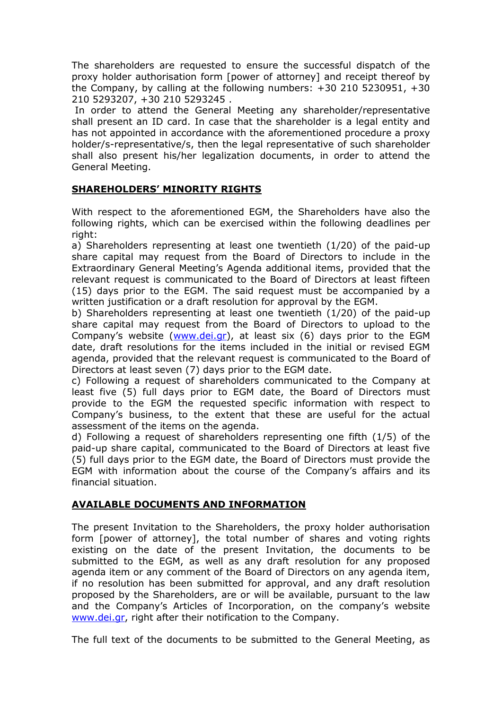The shareholders are requested to ensure the successful dispatch of the proxy holder authorisation form [power of attorney] and receipt thereof by the Company, by calling at the following numbers:  $+30$  210 5230951,  $+30$ 210 5293207, +30 210 5293245 .

In order to attend the General Meeting any shareholder/representative shall present an ID card. In case that the shareholder is a legal entity and has not appointed in accordance with the aforementioned procedure a proxy holder/s-representative/s, then the legal representative of such shareholder shall also present his/her legalization documents, in order to attend the General Meeting.

# **SHAREHOLDERS' MINORITY RIGHTS**

With respect to the aforementioned EGM, the Shareholders have also the following rights, which can be exercised within the following deadlines per right:

a) Shareholders representing at least one twentieth (1/20) of the paid-up share capital may request from the Board of Directors to include in the Extraordinary General Meeting's Agenda additional items, provided that the relevant request is communicated to the Board of Directors at least fifteen (15) days prior to the EGM. The said request must be accompanied by a written justification or a draft resolution for approval by the EGM.

b) Shareholders representing at least one twentieth (1/20) of the paid-up share capital may request from the Board of Directors to upload to the Company's website ([www.dei.gr\)](http://www.dei.gr/), at least six (6) days prior to the EGM date, draft resolutions for the items included in the initial or revised EGM agenda, provided that the relevant request is communicated to the Board of Directors at least seven (7) days prior to the EGM date.

c) Following a request of shareholders communicated to the Company at least five (5) full days prior to EGM date, the Board of Directors must provide to the EGM the requested specific information with respect to Company's business, to the extent that these are useful for the actual assessment of the items on the agenda.

d) Following a request of shareholders representing one fifth (1/5) of the paid-up share capital, communicated to the Board of Directors at least five (5) full days prior to the EGM date, the Board of Directors must provide the EGM with information about the course of the Company's affairs and its financial situation.

# **AVAILABLE DOCUMENTS AND INFORMATION**

The present Invitation to the Shareholders, the proxy holder authorisation form [power of attorney], the total number of shares and voting rights existing on the date of the present Invitation, the documents to be submitted to the EGM, as well as any draft resolution for any proposed agenda item or any comment of the Board of Directors on any agenda item, if no resolution has been submitted for approval, and any draft resolution proposed by the Shareholders, are or will be available, pursuant to the law and the Company's Articles of Incorporation, on the company's website [www.dei.gr,](http://www.dei.gr/) right after their notification to the Company.

The full text of the documents to be submitted to the General Meeting, as